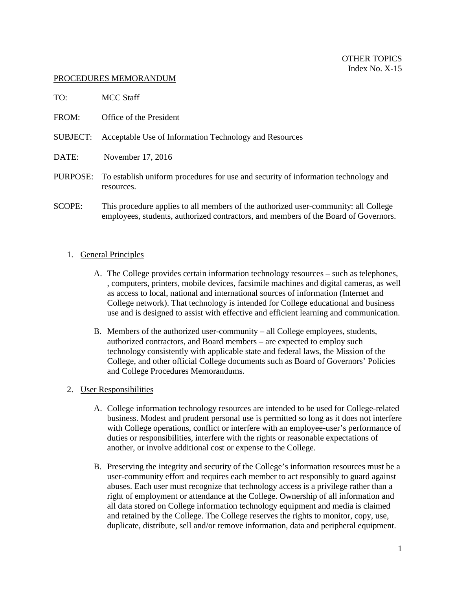#### PROCEDURES MEMORANDUM

| TO:   | MCC Staff                                                              |
|-------|------------------------------------------------------------------------|
| FROM: | Office of the President                                                |
|       | <b>SUBJECT:</b> Acceptable Use of Information Technology and Resources |
| DATE: | November 17, 2016                                                      |
|       |                                                                        |

- PURPOSE: To establish uniform procedures for use and security of information technology and resources.
- SCOPE: This procedure applies to all members of the authorized user-community: all College employees, students, authorized contractors, and members of the Board of Governors.

### 1. General Principles

- A. The College provides certain information technology resources such as telephones, , computers, printers, mobile devices, facsimile machines and digital cameras, as well as access to local, national and international sources of information (Internet and College network). That technology is intended for College educational and business use and is designed to assist with effective and efficient learning and communication.
- B. Members of the authorized user-community all College employees, students, authorized contractors, and Board members – are expected to employ such technology consistently with applicable state and federal laws, the Mission of the College, and other official College documents such as Board of Governors' Policies and College Procedures Memorandums.

# 2. User Responsibilities

- A. College information technology resources are intended to be used for College-related business. Modest and prudent personal use is permitted so long as it does not interfere with College operations, conflict or interfere with an employee-user's performance of duties or responsibilities, interfere with the rights or reasonable expectations of another, or involve additional cost or expense to the College.
- B. Preserving the integrity and security of the College's information resources must be a user-community effort and requires each member to act responsibly to guard against abuses. Each user must recognize that technology access is a privilege rather than a right of employment or attendance at the College. Ownership of all information and all data stored on College information technology equipment and media is claimed and retained by the College. The College reserves the rights to monitor, copy, use, duplicate, distribute, sell and/or remove information, data and peripheral equipment.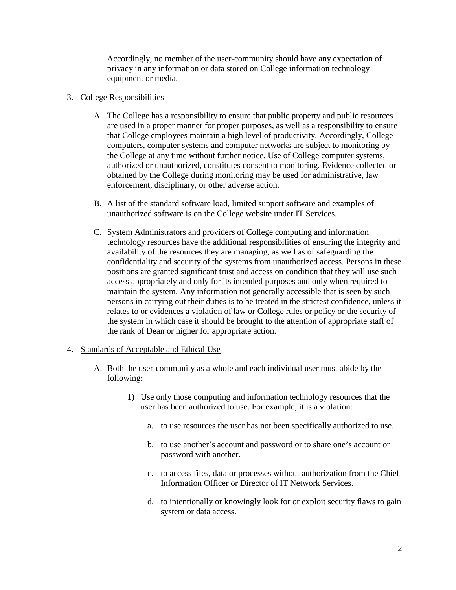Accordingly, no member of the user-community should have any expectation of privacy in any information or data stored on College information technology equipment or media.

## 3. College Responsibilities

- A. The College has a responsibility to ensure that public property and public resources are used in a proper manner for proper purposes, as well as a responsibility to ensure that College employees maintain a high level of productivity. Accordingly, College computers, computer systems and computer networks are subject to monitoring by the College at any time without further notice. Use of College computer systems, authorized or unauthorized, constitutes consent to monitoring. Evidence collected or obtained by the College during monitoring may be used for administrative, law enforcement, disciplinary, or other adverse action.
- B. A list of the standard software load, limited support software and examples of unauthorized software is on the College website under IT Services.
- C. System Administrators and providers of College computing and information technology resources have the additional responsibilities of ensuring the integrity and availability of the resources they are managing, as well as of safeguarding the confidentiality and security of the systems from unauthorized access. Persons in these positions are granted significant trust and access on condition that they will use such access appropriately and only for its intended purposes and only when required to maintain the system. Any information not generally accessible that is seen by such persons in carrying out their duties is to be treated in the strictest confidence, unless it relates to or evidences a violation of law or College rules or policy or the security of the system in which case it should be brought to the attention of appropriate staff of the rank of Dean or higher for appropriate action.

### 4. Standards of Acceptable and Ethical Use

- A. Both the user-community as a whole and each individual user must abide by the following:
	- 1) Use only those computing and information technology resources that the user has been authorized to use. For example, it is a violation:
		- a. to use resources the user has not been specifically authorized to use.
		- b. to use another's account and password or to share one's account or password with another.
		- c. to access files, data or processes without authorization from the Chief Information Officer or Director of IT Network Services.
		- d. to intentionally or knowingly look for or exploit security flaws to gain system or data access.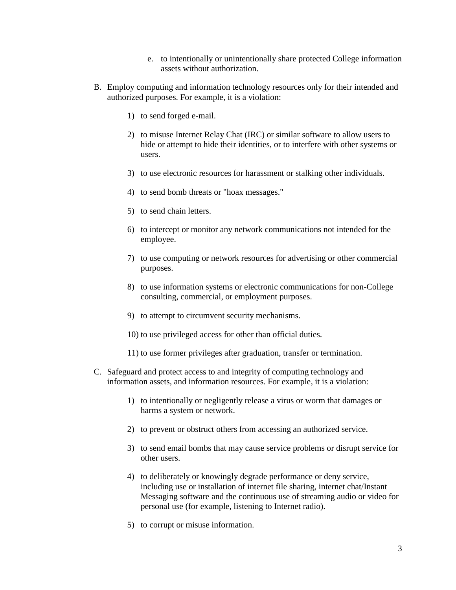- e. to intentionally or unintentionally share protected College information assets without authorization.
- B. Employ computing and information technology resources only for their intended and authorized purposes. For example, it is a violation:
	- 1) to send forged e-mail.
	- 2) to misuse Internet Relay Chat (IRC) or similar software to allow users to hide or attempt to hide their identities, or to interfere with other systems or users.
	- 3) to use electronic resources for harassment or stalking other individuals.
	- 4) to send bomb threats or "hoax messages."
	- 5) to send chain letters.
	- 6) to intercept or monitor any network communications not intended for the employee.
	- 7) to use computing or network resources for advertising or other commercial purposes.
	- 8) to use information systems or electronic communications for non-College consulting, commercial, or employment purposes.
	- 9) to attempt to circumvent security mechanisms.
	- 10) to use privileged access for other than official duties.
	- 11) to use former privileges after graduation, transfer or termination.
- C. Safeguard and protect access to and integrity of computing technology and information assets, and information resources. For example, it is a violation:
	- 1) to intentionally or negligently release a virus or worm that damages or harms a system or network.
	- 2) to prevent or obstruct others from accessing an authorized service.
	- 3) to send email bombs that may cause service problems or disrupt service for other users.
	- 4) to deliberately or knowingly degrade performance or deny service, including use or installation of internet file sharing, internet chat/Instant Messaging software and the continuous use of streaming audio or video for personal use (for example, listening to Internet radio).
	- 5) to corrupt or misuse information.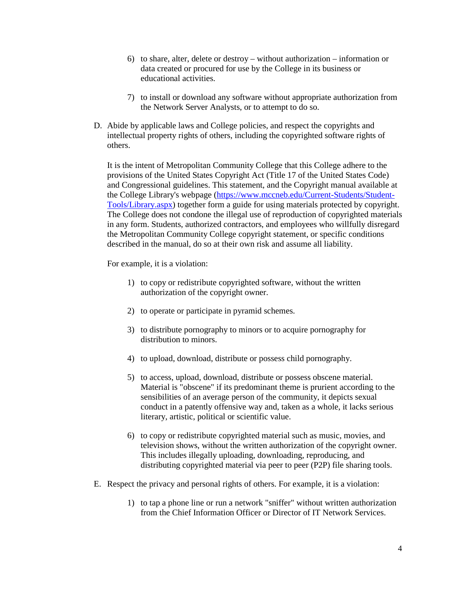- 6) to share, alter, delete or destroy without authorization information or data created or procured for use by the College in its business or educational activities.
- 7) to install or download any software without appropriate authorization from the Network Server Analysts, or to attempt to do so.
- D. Abide by applicable laws and College policies, and respect the copyrights and intellectual property rights of others, including the copyrighted software rights of others.

It is the intent of Metropolitan Community College that this College adhere to the provisions of the United States Copyright Act (Title 17 of the United States Code) and Congressional guidelines. This statement, and the Copyright manual available at the College Library's webpage (https://www.mccneb.edu/Current-Students/Student-Tools/Library.aspx) together form a guide for using materials protected by copyright. The College does not condone the illegal use of reproduction of copyrighted materials in any form. Students, authorized contractors, and employees who willfully disregard the Metropolitan Community College copyright statement, or specific conditions described in the manual, do so at their own risk and assume all liability.

For example, it is a violation:

- 1) to copy or redistribute copyrighted software, without the written authorization of the copyright owner.
- 2) to operate or participate in pyramid schemes.
- 3) to distribute pornography to minors or to acquire pornography for distribution to minors.
- 4) to upload, download, distribute or possess child pornography.
- 5) to access, upload, download, distribute or possess obscene material. Material is "obscene" if its predominant theme is prurient according to the sensibilities of an average person of the community, it depicts sexual conduct in a patently offensive way and, taken as a whole, it lacks serious literary, artistic, political or scientific value.
- 6) to copy or redistribute copyrighted material such as music, movies, and television shows, without the written authorization of the copyright owner. This includes illegally uploading, downloading, reproducing, and distributing copyrighted material via peer to peer (P2P) file sharing tools.
- E. Respect the privacy and personal rights of others. For example, it is a violation:
	- 1) to tap a phone line or run a network "sniffer" without written authorization from the Chief Information Officer or Director of IT Network Services.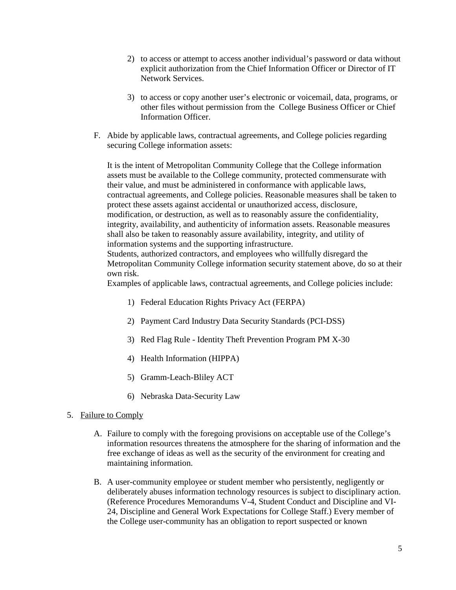- 2) to access or attempt to access another individual's password or data without explicit authorization from the Chief Information Officer or Director of IT Network Services.
- 3) to access or copy another user's electronic or voicemail, data, programs, or other files without permission from the College Business Officer or Chief Information Officer.
- F. Abide by applicable laws, contractual agreements, and College policies regarding securing College information assets:

It is the intent of Metropolitan Community College that the College information assets must be available to the College community, protected commensurate with their value, and must be administered in conformance with applicable laws, contractual agreements, and College policies. Reasonable measures shall be taken to protect these assets against accidental or unauthorized access, disclosure, modification, or destruction, as well as to reasonably assure the confidentiality, integrity, availability, and authenticity of information assets. Reasonable measures shall also be taken to reasonably assure availability, integrity, and utility of information systems and the supporting infrastructure. Students, authorized contractors, and employees who willfully disregard the

Metropolitan Community College information security statement above, do so at their own risk.

Examples of applicable laws, contractual agreements, and College policies include:

- 1) Federal Education Rights Privacy Act (FERPA)
- 2) Payment Card Industry Data Security Standards (PCI-DSS)
- 3) Red Flag Rule Identity Theft Prevention Program PM X-30
- 4) Health Information (HIPPA)
- 5) Gramm-Leach-Bliley ACT
- 6) Nebraska Data-Security Law
- 5. Failure to Comply
	- A. Failure to comply with the foregoing provisions on acceptable use of the College's information resources threatens the atmosphere for the sharing of information and the free exchange of ideas as well as the security of the environment for creating and maintaining information.
	- B. A user-community employee or student member who persistently, negligently or deliberately abuses information technology resources is subject to disciplinary action. (Reference Procedures Memorandums V-4, Student Conduct and Discipline and VI-24, Discipline and General Work Expectations for College Staff.) Every member of the College user-community has an obligation to report suspected or known